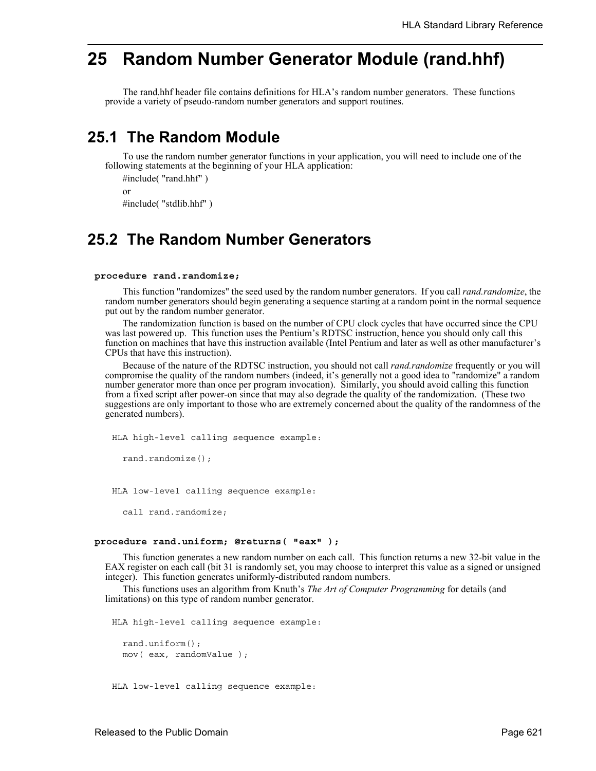# **25 Random Number Generator Module (rand.hhf)**

The rand.hhf header file contains definitions for HLA's random number generators. These functions provide a variety of pseudo-random number generators and support routines.

## **25.1 The Random Module**

To use the random number generator functions in your application, you will need to include one of the following statements at the beginning of your HLA application:

```
#include( "rand.hhf" )
or
```
#include( "stdlib.hhf" )

## **25.2 The Random Number Generators**

#### **procedure rand.randomize;**

This function "randomizes" the seed used by the random number generators. If you call *rand.randomize*, the random number generators should begin generating a sequence starting at a random point in the normal sequence put out by the random number generator.

The randomization function is based on the number of CPU clock cycles that have occurred since the CPU was last powered up. This function uses the Pentium's RDTSC instruction, hence you should only call this function on machines that have this instruction available (Intel Pentium and later as well as other manufacturer's CPUs that have this instruction).

Because of the nature of the RDTSC instruction, you should not call *rand.randomize* frequently or you will compromise the quality of the random numbers (indeed, it's generally not a good idea to "randomize" a random number generator more than once per program invocation). Similarly, you should avoid calling this function from a fixed script after power-on since that may also degrade the quality of the randomization. (These two suggestions are only important to those who are extremely concerned about the quality of the randomness of the generated numbers).

```
HLA high-level calling sequence example:
```

```
rand.randomize();
```
HLA low-level calling sequence example:

call rand.randomize;

#### **procedure rand.uniform; @returns( "eax" );**

This function generates a new random number on each call. This function returns a new 32-bit value in the EAX register on each call (bit 31 is randomly set, you may choose to interpret this value as a signed or unsigned integer). This function generates uniformly-distributed random numbers.

This functions uses an algorithm from Knuth's *The Art of Computer Programming* for details (and limitations) on this type of random number generator.

HLA high-level calling sequence example:

rand.uniform(); mov( eax, randomValue );

HLA low-level calling sequence example: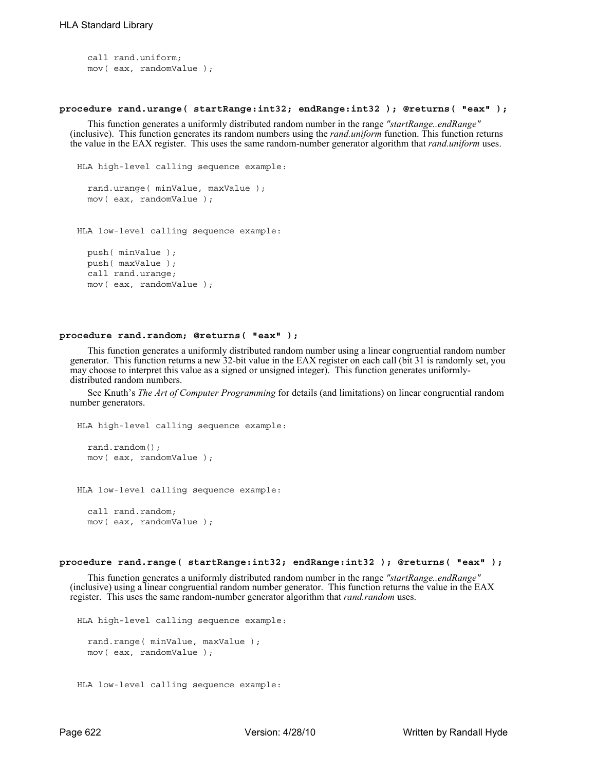```
call rand.uniform;
mov( eax, randomValue );
```
### **procedure rand.urange( startRange:int32; endRange:int32 ); @returns( "eax" );**

This function generates a uniformly distributed random number in the range *"startRange..endRange"* (inclusive). This function generates its random numbers using the *rand.uniform* function. This function returns the value in the EAX register. This uses the same random-number generator algorithm that *rand.uniform* uses.

```
HLA high-level calling sequence example:
  rand.urange( minValue, maxValue );
 mov( eax, randomValue );
```
HLA low-level calling sequence example:

```
push( minValue );
push( maxValue );
call rand.urange;
mov( eax, randomValue );
```
## **procedure rand.random; @returns( "eax" );**

This function generates a uniformly distributed random number using a linear congruential random number generator. This function returns a new 32-bit value in the EAX register on each call (bit 31 is randomly set, you may choose to interpret this value as a signed or unsigned integer). This function generates uniformlydistributed random numbers.

See Knuth's *The Art of Computer Programming* for details (and limitations) on linear congruential random number generators.

```
HLA high-level calling sequence example:
```

```
rand.random();
mov( eax, randomValue );
```
HLA low-level calling sequence example:

```
call rand.random;
mov( eax, randomValue );
```
### **procedure rand.range( startRange:int32; endRange:int32 ); @returns( "eax" );**

This function generates a uniformly distributed random number in the range *"startRange..endRange"* (inclusive) using a linear congruential random number generator. This function returns the value in the EAX register. This uses the same random-number generator algorithm that *rand.random* uses.

```
HLA high-level calling sequence example:
  rand.range( minValue, maxValue );
  mov( eax, randomValue );
```

```
HLA low-level calling sequence example:
```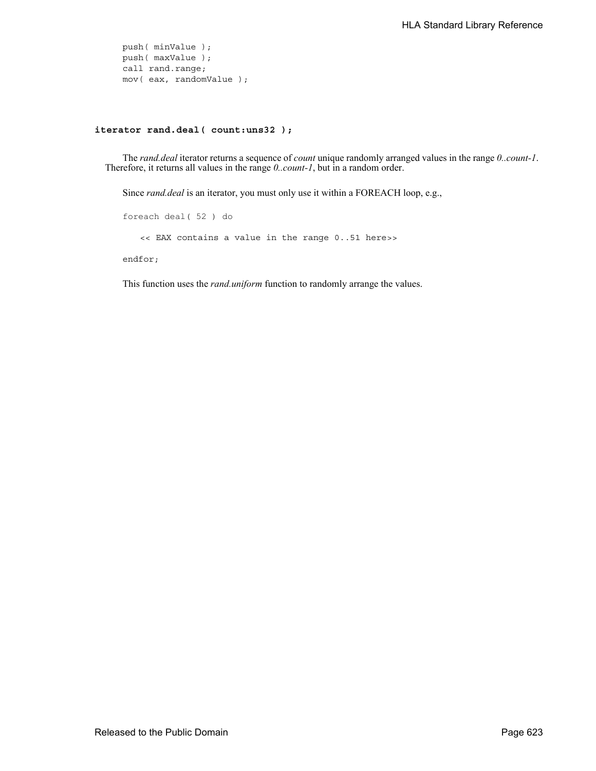push( minValue ); push( maxValue ); call rand.range; mov( eax, randomValue );

## **iterator rand.deal( count:uns32 );**

The *rand.deal* iterator returns a sequence of *count* unique randomly arranged values in the range *0..count-1*. Therefore, it returns all values in the range *0..count-1*, but in a random order.

Since *rand.deal* is an iterator, you must only use it within a FOREACH loop, e.g.,

```
foreach deal( 52 ) do
   << EAX contains a value in the range 0..51 here>>
endfor;
```
This function uses the *rand.uniform* function to randomly arrange the values.